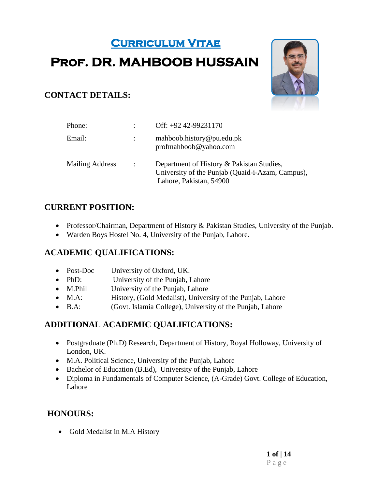# **Curriculum Vitae Prof. DR. MAHBOOB HUSSAIN**



## **CONTACT DETAILS:**

| Phone:                 |                | Off: +92 42-99231170                                                                                                     |
|------------------------|----------------|--------------------------------------------------------------------------------------------------------------------------|
| Email:                 |                | mahboob.history@pu.edu.pk<br>profmahbook@yahoo.com                                                                       |
| <b>Mailing Address</b> | $\mathbb{R}^2$ | Department of History & Pakistan Studies,<br>University of the Punjab (Quaid-i-Azam, Campus),<br>Lahore, Pakistan, 54900 |

#### **CURRENT POSITION:**

- Professor/Chairman, Department of History & Pakistan Studies, University of the Punjab.
- Warden Boys Hostel No. 4, University of the Punjab, Lahore.

# **ACADEMIC QUALIFICATIONS:**

- Post-Doc University of Oxford, UK.
- PhD: University of the Punjab, Lahore
- M.Phil University of the Punjab, Lahore
- M.A: History, (Gold Medalist), University of the Punjab, Lahore
- B.A: (Govt. Islamia College), University of the Punjab, Lahore

#### **ADDITIONAL ACADEMIC QUALIFICATIONS:**

- Postgraduate (Ph.D) Research, Department of History, Royal Holloway, University of London, UK.
- M.A. Political Science, University of the Punjab, Lahore
- Bachelor of Education (B.Ed), University of the Punjab, Lahore
- Diploma in Fundamentals of Computer Science, (A-Grade) Govt. College of Education, Lahore

#### **HONOURS:**

• Gold Medalist in M.A History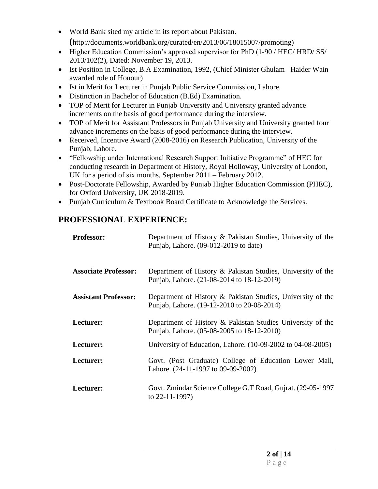- World Bank sited my article in its report about Pakistan. **(**http://documents.worldbank.org/curated/en/2013/06/18015007/promoting)
- Higher Education Commission's approved supervisor for PhD (1-90 / HEC/ HRD/ SS/ 2013/102(2), Dated: November 19, 2013.
- Ist Position in College, B.A Examination, 1992, (Chief Minister Ghulam Haider Wain awarded role of Honour)
- Ist in Merit for Lecturer in Punjab Public Service Commission, Lahore.
- Distinction in Bachelor of Education (B.Ed) Examination.
- TOP of Merit for Lecturer in Punjab University and University granted advance increments on the basis of good performance during the interview.
- TOP of Merit for Assistant Professors in Punjab University and University granted four advance increments on the basis of good performance during the interview.
- Received, Incentive Award (2008-2016) on Research Publication, University of the Punjab, Lahore.
- "Fellowship under International Research Support Initiative Programme" of HEC for conducting research in Department of History, Royal Holloway, University of London, UK for a period of six months, September 2011 – February 2012.
- Post-Doctorate Fellowship, Awarded by Punjab Higher Education Commission (PHEC), for Oxford University, UK 2018-2019.
- Punjab Curriculum & Textbook Board Certificate to Acknowledge the Services.

#### **PROFESSIONAL EXPERIENCE:**

| <b>Professor:</b>           | Department of History & Pakistan Studies, University of the<br>Punjab, Lahore. (09-012-2019 to date)      |
|-----------------------------|-----------------------------------------------------------------------------------------------------------|
| <b>Associate Professor:</b> | Department of History & Pakistan Studies, University of the<br>Punjab, Lahore. (21-08-2014 to 18-12-2019) |
| <b>Assistant Professor:</b> | Department of History & Pakistan Studies, University of the<br>Punjab, Lahore. (19-12-2010 to 20-08-2014) |
| Lecturer:                   | Department of History & Pakistan Studies University of the<br>Punjab, Lahore. (05-08-2005 to 18-12-2010)  |
| Lecturer:                   | University of Education, Lahore. (10-09-2002 to 04-08-2005)                                               |
| Lecturer:                   | Govt. (Post Graduate) College of Education Lower Mall,<br>Lahore. (24-11-1997 to 09-09-2002)              |
| Lecturer:                   | Govt. Zmindar Science College G.T Road, Gujrat. (29-05-1997)<br>to $22-11-1997$ )                         |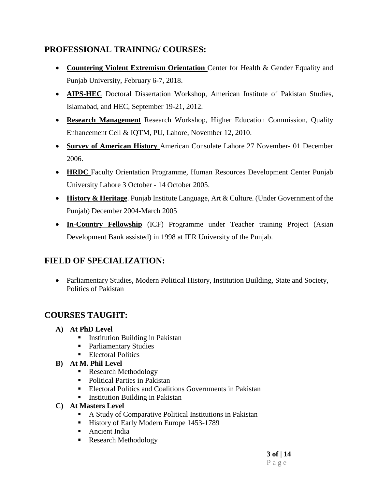### **PROFESSIONAL TRAINING/ COURSES:**

- **Countering Violent Extremism Orientation** Center for Health & Gender Equality and Punjab University, February 6-7, 2018.
- **AIPS-HEC** Doctoral Dissertation Workshop, American Institute of Pakistan Studies, Islamabad, and HEC, September 19-21, 2012.
- **Research Management** Research Workshop, Higher Education Commission, Quality Enhancement Cell & IQTM, PU, Lahore, November 12, 2010.
- **Survey of American History** American Consulate Lahore 27 November- 01 December 2006.
- **HRDC** Faculty Orientation Programme, Human Resources Development Center Punjab University Lahore 3 October - 14 October 2005.
- **History & Heritage**. Punjab Institute Language, Art & Culture. (Under Government of the Punjab) December 2004-March 2005
- **In-Country Fellowship** (ICF) Programme under Teacher training Project (Asian Development Bank assisted) in 1998 at IER University of the Punjab.

# **FIELD OF SPECIALIZATION:**

 Parliamentary Studies, Modern Political History, Institution Building, State and Society, Politics of Pakistan

# **COURSES TAUGHT:**

- **A) At PhD Level**
	- **Institution Building in Pakistan**
	- Parliamentary Studies
	- **Electoral Politics**
- **B) At M. Phil Level**
	- Research Methodology
	- Political Parties in Pakistan
	- Electoral Politics and Coalitions Governments in Pakistan
	- **Institution Building in Pakistan**
- **C) At Masters Level**
	- A Study of Comparative Political Institutions in Pakistan
	- History of Early Modern Europe 1453-1789
	- **Ancient India**
	- Research Methodology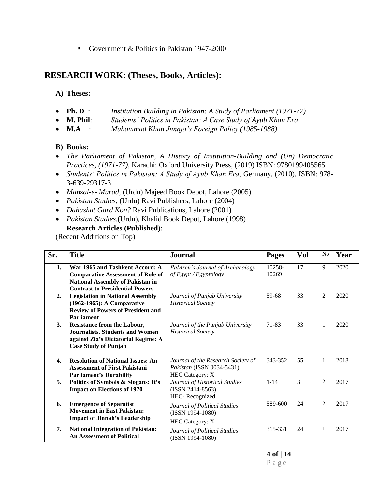Government & Politics in Pakistan 1947-2000

#### **RESEARCH WORK: (Theses, Books, Articles):**

#### **A) Theses:**

- **Ph. D** : *Institution Building in Pakistan: A Study of Parliament (1971-77)*
- **M. Phil**: *Students' Politics in Pakistan: A Case Study of Ayub Khan Era*
- **M.A** : *Muhammad Khan Junajo's Foreign Policy (1985-1988)*

#### **B) Books:**

- *The Parliament of Pakistan, A History of Institution-Building and (Un) Democratic Practices, (1971-77)*, Karachi: Oxford University Press, (2019) ISBN: 9780199405565
- *Students' Politics in Pakistan: A Study of Ayub Khan Era*, Germany, (2010), ISBN: 978- 3-639-29317-3
- *Manzal-e- Murad,* (Urdu) Majeed Book Depot, Lahore (2005)
- *Pakistan Studies*, (Urdu) Ravi Publishers, Lahore (2004)
- *Dahashat Gard Kon?* Ravi Publications, Lahore (2001)
- *Pakistan Studies,*(Urdu), Khalid Book Depot, Lahore (1998) **Research Articles (Published):**

(Recent Additions on Top)

| Sr.              | <b>Title</b>                                                                                                                                                     | <b>Journal</b>                                                                            | <b>Pages</b>    | <b>Vol</b> | N <sub>0</sub> | Year |
|------------------|------------------------------------------------------------------------------------------------------------------------------------------------------------------|-------------------------------------------------------------------------------------------|-----------------|------------|----------------|------|
| 1.               | War 1965 and Tashkent Accord: A<br><b>Comparative Assessment of Role of</b><br><b>National Assembly of Pakistan in</b><br><b>Contrast to Presidential Powers</b> | PalArch's Journal of Archaeology<br>of Egypt / Egyptology                                 | 10258-<br>10269 | 17         | 9              | 2020 |
| 2.               | <b>Legislation in National Assembly</b><br>(1962-1965): A Comparative<br><b>Review of Powers of President and</b><br><b>Parliament</b>                           | Journal of Punjab University<br><b>Historical Society</b>                                 | 59-68           | 33         | $\overline{2}$ | 2020 |
| 3.               | <b>Resistance from the Labour,</b><br><b>Journalists, Students and Women</b><br>against Zia's Dictatorial Regime: A<br><b>Case Study of Punjab</b>               | Journal of the Punjab University<br><b>Historical Society</b>                             | 71-83           | 33         | 1              | 2020 |
| $\overline{4}$ . | <b>Resolution of National Issues: An</b><br><b>Assessment of First Pakistani</b><br><b>Parliament's Durability</b>                                               | Journal of the Research Society of<br>Pakistan (ISSN 0034-5431)<br><b>HEC Category: X</b> | 343-352         | 55         | $\mathbf{1}$   | 2018 |
| 5.               | Politics of Symbols & Slogans: It's<br><b>Impact on Elections of 1970</b>                                                                                        | Journal of Historical Studies<br>$(ISSN 2414-8563)$<br>HEC-Recognized                     | $1 - 14$        | 3          | $\overline{2}$ | 2017 |
| 6.               | <b>Emergence of Separatist</b><br><b>Movement in East Pakistan:</b><br><b>Impact of Jinnah's Leadership</b>                                                      | Journal of Political Studies<br>(ISSN 1994-1080)<br><b>HEC Category: X</b>                | 589-600         | 24         | 2              | 2017 |
| 7.               | <b>National Integration of Pakistan:</b><br><b>An Assessment of Political</b>                                                                                    | Journal of Political Studies<br>(ISSN 1994-1080)                                          | 315-331         | 24         | 1              | 2017 |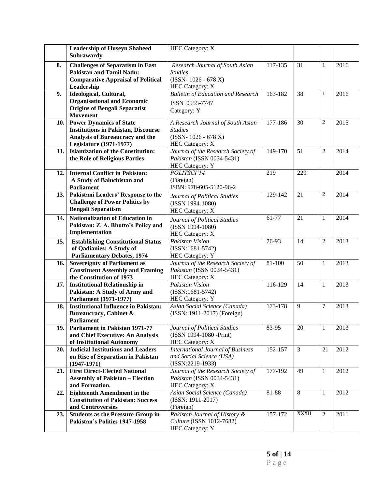|     | <b>Leadership of Huseyn Shaheed</b><br>Suhrawardy                                                                       | <b>HEC</b> Category: X                                                   |         |                |                |      |
|-----|-------------------------------------------------------------------------------------------------------------------------|--------------------------------------------------------------------------|---------|----------------|----------------|------|
| 8.  | <b>Challenges of Separatism in East</b><br><b>Pakistan and Tamil Nadu:</b><br><b>Comparative Appraisal of Political</b> | Research Journal of South Asian<br><b>Studies</b><br>$(ISSN-1026-678 X)$ | 117-135 | 31             | 1              | 2016 |
| 9.  | Leadership<br>Ideological, Cultural,                                                                                    | <b>HEC Category: X</b><br><b>Bulletin of Education and Research</b>      | 163-182 | 38             | $\mathbf{1}$   | 2016 |
|     | <b>Organisational and Economic</b>                                                                                      | ISSN-0555-7747                                                           |         |                |                |      |
|     | <b>Origins of Bengali Separatist</b>                                                                                    |                                                                          |         |                |                |      |
|     | Movement                                                                                                                | Category: Y                                                              |         |                |                |      |
| 10. | <b>Power Dynamics of State</b>                                                                                          | A Research Journal of South Asian                                        | 177-186 | 30             | $\overline{2}$ | 2015 |
|     | <b>Institutions in Pakistan, Discourse</b>                                                                              | <b>Studies</b>                                                           |         |                |                |      |
|     | Analysis of Bureaucracy and the                                                                                         | $(ISSN-1026-678 X)$                                                      |         |                |                |      |
|     | <b>Legislature (1971-1977)</b>                                                                                          | <b>HEC Category: X</b>                                                   |         | 51             |                | 2014 |
| 11. | <b>Islamization of the Constitution:</b><br>the Role of Religious Parties                                               | Journal of the Research Society of<br>Pakistan (ISSN 0034-5431)          | 149-170 |                | $\overline{2}$ |      |
|     |                                                                                                                         | <b>HEC Category: Y</b>                                                   |         |                |                |      |
| 12. | <b>Internal Conflict in Pakistan:</b>                                                                                   | POLITSCI'14                                                              | 219     | 229            |                | 2014 |
|     | A Study of Baluchistan and                                                                                              | (Foreign)                                                                |         |                |                |      |
|     | <b>Parliament</b>                                                                                                       | ISBN: 978-605-5120-96-2                                                  |         |                |                |      |
| 13. | Pakistani Leaders' Response to the                                                                                      | Journal of Political Studies                                             | 129-142 | 21             | $\overline{2}$ | 2014 |
|     | <b>Challenge of Power Politics by</b>                                                                                   | (ISSN 1994-1080)                                                         |         |                |                |      |
|     | <b>Bengali Separatism</b>                                                                                               | <b>HEC Category: X</b>                                                   |         |                |                |      |
| 14. | <b>Nationalization of Education in</b>                                                                                  | Journal of Political Studies                                             | 61-77   | 21             | 1              | 2014 |
|     | Pakistan: Z. A. Bhutto's Policy and                                                                                     | (ISSN 1994-1080)                                                         |         |                |                |      |
|     | Implementation                                                                                                          | HEC Category: X                                                          |         |                |                |      |
| 15. | <b>Establishing Constitutional Status</b>                                                                               | <b>Pakistan Vision</b>                                                   | 76-93   | 14             | $\overline{2}$ | 2013 |
|     | of Qadianies: A Study of                                                                                                | $(ISSN:1681-5742)$                                                       |         |                |                |      |
| 16. | <b>Parliamentary Debates, 1974</b><br><b>Sovereignty of Parliament as</b>                                               | HEC Category: Y<br>Journal of the Research Society of                    | 81-100  | 50             | 1              | 2013 |
|     | <b>Constituent Assembly and Framing</b>                                                                                 | Pakistan (ISSN 0034-5431)                                                |         |                |                |      |
|     | the Constitution of 1973                                                                                                | <b>HEC</b> Category: X                                                   |         |                |                |      |
| 17. | <b>Institutional Relationship in</b>                                                                                    | Pakistan Vision                                                          | 116-129 | 14             | $\mathbf{1}$   | 2013 |
|     | Pakistan: A Study of Army and                                                                                           | $(ISSN:1681-5742)$                                                       |         |                |                |      |
|     | Parliament (1971-1977)                                                                                                  | HEC Category: Y                                                          |         |                |                |      |
| 18. | <b>Institutional Influence in Pakistan:</b>                                                                             | Asian Social Science (Canada)                                            | 173-178 | 9              | $\overline{7}$ | 2013 |
|     | Bureaucracy, Cabinet &                                                                                                  | (ISSN: 1911-2017) (Foreign)                                              |         |                |                |      |
| 19. | Parliament<br><b>Parliament in Pakistan 1971-77</b>                                                                     | Journal of Political Studies                                             | 83-95   | 20             | 1              | 2013 |
|     | and Chief Executive: An Analysis                                                                                        | (ISSN 1994-1080 -Print)                                                  |         |                |                |      |
|     | of Institutional Autonomy                                                                                               | <b>HEC Category: X</b>                                                   |         |                |                |      |
| 20. | <b>Judicial Institutions and Leaders</b>                                                                                | <b>International Journal of Business</b>                                 | 152-157 | $\mathfrak{Z}$ | 21             | 2012 |
|     | on Rise of Separatism in Pakistan                                                                                       | and Social Science (USA)                                                 |         |                |                |      |
|     | $(1947-1971)$                                                                                                           | $(ISSN:2219-1933)$                                                       |         |                |                |      |
| 21. | <b>First Direct-Elected National</b>                                                                                    | Journal of the Research Society of                                       | 177-192 | 49             | $\mathbf{1}$   | 2012 |
|     | <b>Assembly of Pakistan - Election</b>                                                                                  | Pakistan (ISSN 0034-5431)                                                |         |                |                |      |
|     | and Formation.                                                                                                          | <b>HEC Category: X</b>                                                   |         |                |                |      |
| 22. | <b>Eighteenth Amendment in the</b><br><b>Constitution of Pakistan: Success</b>                                          | Asian Social Science (Canada)<br>(ISSN: 1911-2017)                       | 81-88   | 8              | 1              | 2012 |
|     | and Controversies                                                                                                       | (Foreign)                                                                |         |                |                |      |
| 23. | <b>Students as the Pressure Group in</b>                                                                                | Pakistan Journal of History &                                            | 157-172 | <b>XXXII</b>   | $\overline{2}$ | 2011 |
|     | Pakistan's Politics 1947-1958                                                                                           | Culture (ISSN 1012-7682)                                                 |         |                |                |      |
|     |                                                                                                                         | HEC Category: Y                                                          |         |                |                |      |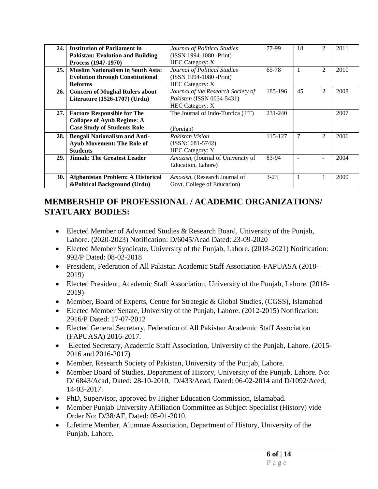| 24.1 | <b>Institution of Parliament in</b>      | Journal of Political Studies          | 77-99    | 18 | $\mathfrak{D}$           | 2011 |
|------|------------------------------------------|---------------------------------------|----------|----|--------------------------|------|
|      | <b>Pakistan: Evolution and Building</b>  | (ISSN 1994-1080 -Print)               |          |    |                          |      |
|      | Process (1947-1970)                      | <b>HEC Category: X</b>                |          |    |                          |      |
| 25.  | <b>Muslim Nationalism in South Asia:</b> | Journal of Political Studies          | 65-78    | 1  | 2                        | 2010 |
|      | <b>Evolution through Constitutional</b>  | (ISSN 1994-1080 -Print)               |          |    |                          |      |
|      | <b>Reforms</b>                           | <b>HEC Category: X</b>                |          |    |                          |      |
| 26.1 | <b>Concern of Mughal Rulers about</b>    | Journal of the Research Society of    | 185-196  | 45 | 2                        | 2008 |
|      | Literature (1526-1707) (Urdu)            | Pakistan (ISSN 0034-5431)             |          |    |                          |      |
|      |                                          | <b>HEC Category: X</b>                |          |    |                          |      |
| 27.1 | <b>Factors Responsible for The</b>       | The Journal of Indo-Turcica (JIT)     | 231-240  |    |                          | 2007 |
|      | <b>Collapse of Ayub Regime: A</b>        |                                       |          |    |                          |      |
|      | <b>Case Study of Students Role</b>       | (Foreign)                             |          |    |                          |      |
| 28.1 | <b>Bengali Nationalism and Anti-</b>     | Pakistan Vision                       | 115-127  | 7  | 2                        | 2006 |
|      | <b>Ayub Movement: The Role of</b>        | $(ISSN:1681-5742)$                    |          |    |                          |      |
|      | <b>Students</b>                          | <b>HEC Category: Y</b>                |          |    |                          |      |
| 29.  | <b>Jinnah: The Greatest Leader</b>       | Amozish, (Journal of University of    | 83-94    |    | $\overline{\phantom{a}}$ | 2004 |
|      |                                          | Education, Lahore)                    |          |    |                          |      |
|      |                                          |                                       |          |    |                          |      |
| 30.  | <b>Afghanistan Problem: A Historical</b> | <i>Amozish</i> , (Research Journal of | $3 - 23$ |    | $\mathbf{1}$             | 2000 |
|      | &Political Background (Urdu)             | Govt. College of Education)           |          |    |                          |      |

#### **MEMBERSHIP OF PROFESSIONAL / ACADEMIC ORGANIZATIONS/ STATUARY BODIES:**

- Elected Member of Advanced Studies & Research Board, University of the Punjab, Lahore. (2020-2023) Notification: D/6045/Acad Dated: 23-09-2020
- Elected Member Syndicate, University of the Punjab, Lahore. (2018-2021) Notification: 992/P Dated: 08-02-2018
- President, Federation of All Pakistan Academic Staff Association-FAPUASA (2018- 2019)
- Elected President, Academic Staff Association, University of the Punjab, Lahore. (2018- 2019)
- Member, Board of Experts, Centre for Strategic & Global Studies, (CGSS), Islamabad
- Elected Member Senate, University of the Punjab, Lahore. (2012-2015) Notification: 2916/P Dated: 17-07-2012
- Elected General Secretary, Federation of All Pakistan Academic Staff Association (FAPUASA) 2016-2017.
- Elected Secretary, Academic Staff Association, University of the Punjab, Lahore. (2015- 2016 and 2016-2017)
- Member, Research Society of Pakistan, University of the Punjab, Lahore.
- Member Board of Studies, Department of History, University of the Punjab, Lahore. No: D/ 6843/Acad, Dated: 28-10-2010, D/433/Acad, Dated: 06-02-2014 and D/1092/Aced, 14-03-2017.
- PhD, Supervisor, approved by Higher Education Commission, Islamabad.
- Member Punjab University Affiliation Committee as Subject Specialist (History) vide Order No: D/38/AF, Dated: 05-01-2010.
- Lifetime Member, Alumnae Association, Department of History, University of the Punjab, Lahore.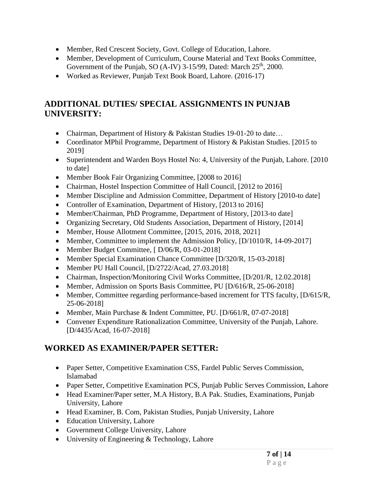- Member, Red Crescent Society, Govt. College of Education, Lahore.
- Member, Development of Curriculum, Course Material and Text Books Committee, Government of the Punjab, SO (A-IV) 3-15/99, Dated: March 25<sup>th</sup>, 2000.
- Worked as Reviewer, Punjab Text Book Board, Lahore. (2016-17)

## **ADDITIONAL DUTIES/ SPECIAL ASSIGNMENTS IN PUNJAB UNIVERSITY:**

- Chairman, Department of History & Pakistan Studies 19-01-20 to date...
- Coordinator MPhil Programme, Department of History & Pakistan Studies. [2015 to 2019]
- Superintendent and Warden Boys Hostel No: 4, University of the Punjab, Lahore. [2010] to date]
- Member Book Fair Organizing Committee, [2008 to 2016]
- Chairman, Hostel Inspection Committee of Hall Council, [2012 to 2016]
- Member Discipline and Admission Committee, Department of History [2010-to date]
- Controller of Examination, Department of History, [2013 to 2016]
- Member/Chairman, PhD Programme, Department of History, [2013-to date]
- Organizing Secretary, Old Students Association, Department of History, [2014]
- Member, House Allotment Committee, [2015, 2016, 2018, 2021]
- Member, Committee to implement the Admission Policy, [D/1010/R, 14-09-2017]
- Member Budget Committee, [D/06/R, 03-01-2018]
- Member Special Examination Chance Committee [D/320/R, 15-03-2018]
- Member PU Hall Council, [D/2722/Acad, 27.03.2018]
- Chairman, Inspection/Monitoring Civil Works Committee, [D/201/R, 12.02.2018]
- Member, Admission on Sports Basis Committee, PU [D/616/R, 25-06-2018]
- Member, Committee regarding performance-based increment for TTS faculty, [D/615/R, 25-06-2018]
- Member, Main Purchase & Indent Committee, PU. [D/661/R, 07-07-2018]
- Convener Expenditure Rationalization Committee, University of the Punjab, Lahore. [D/4435/Acad, 16-07-2018]

# **WORKED AS EXAMINER/PAPER SETTER:**

- Paper Setter, Competitive Examination CSS, Fardel Public Serves Commission, Islamabad
- Paper Setter, Competitive Examination PCS, Punjab Public Serves Commission, Lahore
- Head Examiner/Paper setter, M.A History, B.A Pak. Studies, Examinations, Punjab University, Lahore
- Head Examiner, B. Com, Pakistan Studies, Punjab University, Lahore
- Education University, Lahore
- Government College University, Lahore
- University of Engineering & Technology, Lahore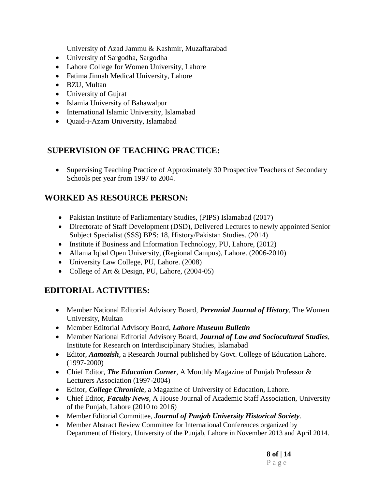University of Azad Jammu & Kashmir, Muzaffarabad

- University of Sargodha, Sargodha
- Lahore College for Women University, Lahore
- Fatima Jinnah Medical University, Lahore
- BZU, Multan
- University of Gujrat
- Islamia University of Bahawalpur
- International Islamic University, Islamabad
- Quaid-i-Azam University, Islamabad

#### **SUPERVISION OF TEACHING PRACTICE:**

• Supervising Teaching Practice of Approximately 30 Prospective Teachers of Secondary Schools per year from 1997 to 2004.

#### **WORKED AS RESOURCE PERSON:**

- Pakistan Institute of Parliamentary Studies, (PIPS) Islamabad (2017)
- Directorate of Staff Development (DSD), Delivered Lectures to newly appointed Senior Subject Specialist (SSS) BPS: 18, History/Pakistan Studies. (2014)
- Institute if Business and Information Technology, PU, Lahore, (2012)
- Allama Iqbal Open University, (Regional Campus), Lahore. (2006-2010)
- University Law College, PU, Lahore. (2008)
- College of Art & Design, PU, Lahore, (2004-05)

#### **EDITORIAL ACTIVITIES:**

- Member National Editorial Advisory Board, *Perennial Journal of History*, The Women University, Multan
- Member Editorial Advisory Board, *Lahore Museum Bulletin*
- Member National Editorial Advisory Board, *Journal of Law and Sociocultural Studies*, Institute for Research on Interdisciplinary Studies, Islamabad
- Editor, *Aamozish,* a Research Journal published by Govt. College of Education Lahore. (1997-2000)
- Chief Editor*, The Education Corner,* A Monthly Magazine of Punjab Professor & Lecturers Association (1997-2004)
- Editor, *College Chronicle,* a Magazine of University of Education, Lahore.
- Chief Editor*, Faculty News,* A House Journal of Academic Staff Association, University of the Punjab, Lahore (2010 to 2016)
- Member Editorial Committee, *Journal of Punjab University Historical Society.*
- Member Abstract Review Committee for International Conferences organized by Department of History, University of the Punjab, Lahore in November 2013 and April 2014.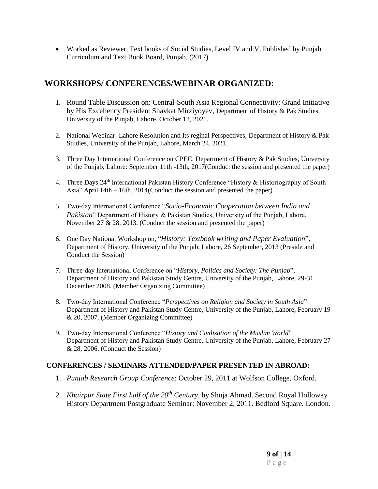Worked as Reviewer, Text books of Social Studies, Level IV and V, Published by Punjab Curriculum and Text Book Board, Punjab. (2017)

#### **WORKSHOPS/ CONFERENCES/WEBINAR ORGANIZED:**

- 1. Round Table Discussion on: Central-South Asia Regional Connectivity: Grand Initiative by His Excellency President Shavkat Mirziyoyev, Department of History & Pak Studies, University of the Punjab, Lahore, October 12, 2021.
- 2. National Webinar: Lahore Resolution and Its reginal Perspectives, Department of History & Pak Studies, University of the Punjab, Lahore, March 24, 2021.
- 3. Three Day International Conference on CPEC, Department of History & Pak Studies, University of the Punjab, Lahore: September 11th -13th, 2017(Conduct the session and presented the paper)
- 4. Three Days 24<sup>th</sup> International Pakistan History Conference "History & Historiography of South Asia" April 14th – 16th, 2014(Conduct the session and presented the paper)
- 5. Two-day International Conference "*Socio-Economic Cooperation between India and Pakistan*" Department of History & Pakistan Studies, University of the Punjab, Lahore, November 27 & 28, 2013. (Conduct the session and presented the paper)
- 6. One Day National Workshop on, "*History: Textbook writing and Paper Evaluation*", Department of History, University of the Punjab, Lahore, 26 September, 2013 (Preside and Conduct the Session)
- 7. Three-day International Conference on "*History, Politics and Society: The Punjab*", Department of History and Pakistan Study Centre, University of the Punjab, Lahore, 29-31 December 2008. (Member Organizing Committee)
- 8. Two-day International Conference "*Perspectives on Religion and Society in South Asia*" Department of History and Pakistan Study Centre, University of the Punjab, Lahore, February 19 & 20, 2007. (Member Organizing Committee)
- 9. Two-day International Conference "*History and Civilization of the Muslim World*" Department of History and Pakistan Study Centre, University of the Punjab, Lahore, February 27 & 28, 2006. (Conduct the Session)

#### **CONFERENCES / SEMINARS ATTENDED/PAPER PRESENTED IN ABROAD:**

- 1. *Punjab Research Group Conference*: October 29, 2011 at Wolfson College, Oxford.
- 2. *Khairpur State First half of the 20th Century*, by Shuja Ahmad. Second Royal Holloway History Department Postgraduate Seminar: November 2, 2011. Bedford Square. London.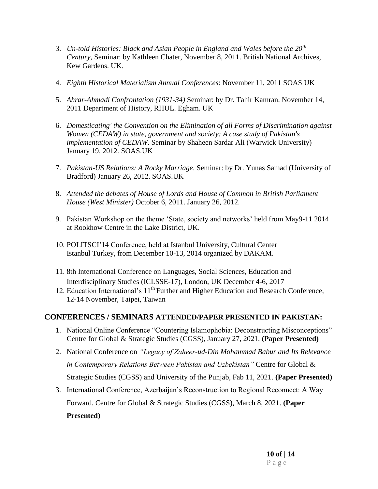- 3. *Un-told Histories: Black and Asian People in England and Wales before the 20th Century*, Seminar: by Kathleen Chater, November 8, 2011. British National Archives, Kew Gardens. UK.
- 4. *Eighth Historical Materialism Annual Conferences*: November 11, 2011 SOAS UK
- 5. *Ahrar-Ahmadi Confrontation (1931-34)* Seminar: by Dr. Tahir Kamran. November 14, 2011 Department of History, RHUL. Egham. UK
- 6. *Domesticating' the Convention on the Elimination of all Forms of Discrimination against Women (CEDAW) in state, government and society: A case study of Pakistan's implementation of CEDAW*. Seminar by Shaheen Sardar Ali (Warwick University) January 19, 2012. SOAS.UK
- 7. *Pakistan-US Relations: A Rocky Marriage*. Seminar: by Dr. Yunas Samad (University of Bradford) January 26, 2012. SOAS.UK
- 8. *Attended the debates of House of Lords and House of Common in British Parliament House (West Minister)* October 6, 2011. January 26, 2012.
- 9. Pakistan Workshop on the theme 'State, society and networks' held from May9-11 2014 at Rookhow Centre in the Lake District, UK.
- 10. POLITSCI'14 Conference, held at Istanbul University, Cultural Center Istanbul Turkey, from December 10-13, 2014 organized by DAKAM.
- 11. 8th International Conference on Languages, Social Sciences, Education and Interdisciplinary Studies (ICLSSE-17), London, UK December 4-6, 2017
- 12. Education International's 11<sup>th</sup> Further and Higher Education and Research Conference, 12-14 November, Taipei, Taiwan

#### **CONFERENCES / SEMINARS ATTENDED/PAPER PRESENTED IN PAKISTAN:**

- 1. National Online Conference "Countering Islamophobia: Deconstructing Misconceptions" Centre for Global & Strategic Studies (CGSS), January 27, 2021. **(Paper Presented)**
- 2. National Conference on *"Legacy of Zaheer-ud-Din Mohammad Babur and Its Relevance in Contemporary Relations Between Pakistan and Uzbekistan"* Centre for Global & Strategic Studies (CGSS) and University of the Punjab, Fab 11, 2021. **(Paper Presented)**
- 3. International Conference, Azerbaijan's Reconstruction to Regional Reconnect: A Way Forward. Centre for Global & Strategic Studies (CGSS), March 8, 2021. **(Paper**

**Presented)**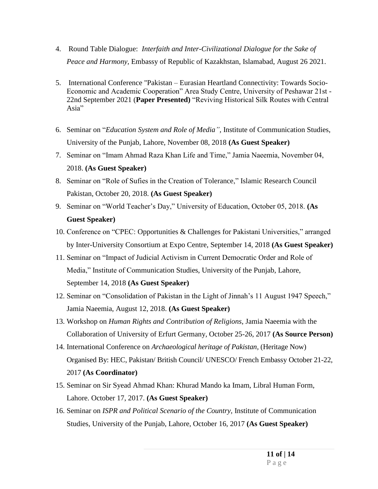- 4. Round Table Dialogue: *Interfaith and Inter-Civilizational Dialogue for the Sake of Peace and Harmony,* Embassy of Republic of Kazakhstan, Islamabad, August 26 2021.
- 5. International Conference "Pakistan Eurasian Heartland Connectivity: Towards Socio-Economic and Academic Cooperation" Area Study Centre, University of Peshawar 21st - 22nd September 2021 (**Paper Presented)** "Reviving Historical Silk Routes with Central Asia"
- 6. Seminar on "*Education System and Role of Media",* Institute of Communication Studies, University of the Punjab, Lahore, November 08, 2018 **(As Guest Speaker)**
- 7. Seminar on "Imam Ahmad Raza Khan Life and Time," Jamia Naeemia, November 04, 2018. **(As Guest Speaker)**
- 8. Seminar on "Role of Sufies in the Creation of Tolerance," Islamic Research Council Pakistan, October 20, 2018. **(As Guest Speaker)**
- 9. Seminar on "World Teacher's Day," University of Education, October 05, 2018. **(As Guest Speaker)**
- 10. Conference on "CPEC: Opportunities & Challenges for Pakistani Universities," arranged by Inter-University Consortium at Expo Centre, September 14, 2018 **(As Guest Speaker)**
- 11. Seminar on "Impact of Judicial Activism in Current Democratic Order and Role of Media," Institute of Communication Studies, University of the Punjab, Lahore, September 14, 2018 **(As Guest Speaker)**
- 12. Seminar on "Consolidation of Pakistan in the Light of Jinnah's 11 August 1947 Speech," Jamia Naeemia, August 12, 2018. **(As Guest Speaker)**
- 13. Workshop on *Human Rights and Contribution of Religions*, Jamia Naeemia with the Collaboration of University of Erfurt Germany, October 25-26, 2017 **(As Source Person)**
- 14. International Conference on *Archaeological heritage of Pakistan,* (Heritage Now) Organised By: HEC, Pakistan/ British Council/ UNESCO/ French Embassy October 21-22, 2017 **(As Coordinator)**
- 15. Seminar on Sir Syead Ahmad Khan: Khurad Mando ka Imam, Libral Human Form, Lahore. October 17, 2017. **(As Guest Speaker)**
- 16. Seminar on *ISPR and Political Scenario of the Country,* Institute of Communication Studies, University of the Punjab, Lahore, October 16, 2017 **(As Guest Speaker)**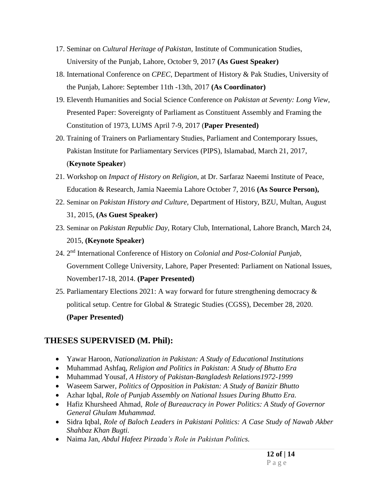- 17. Seminar on *Cultural Heritage of Pakistan,* Institute of Communication Studies, University of the Punjab, Lahore, October 9, 2017 **(As Guest Speaker)**
- 18. International Conference on *CPEC*, Department of History & Pak Studies, University of the Punjab, Lahore: September 11th -13th, 2017 **(As Coordinator)**
- 19. Eleventh Humanities and Social Science Conference on *Pakistan at Seventy: Long View,*  Presented Paper: Sovereignty of Parliament as Constituent Assembly and Framing the Constitution of 1973, LUMS April 7-9, 2017 (**Paper Presented)**
- 20. Training of Trainers on Parliamentary Studies, Parliament and Contemporary Issues, Pakistan Institute for Parliamentary Services (PIPS), Islamabad, March 21, 2017, (**Keynote Speaker**)
- 21. Workshop on *Impact of History on Religion*, at Dr. Sarfaraz Naeemi Institute of Peace, Education & Research, Jamia Naeemia Lahore October 7, 2016 **(As Source Person),**
- 22. Seminar on *Pakistan History and Culture,* Department of History, BZU, Multan, August 31, 2015, **(As Guest Speaker)**
- 23. Seminar on *Pakistan Republic Day,* Rotary Club, International, Lahore Branch, March 24, 2015, **(Keynote Speaker)**
- 24. 2<sup>nd</sup> International Conference of History on *Colonial and Post-Colonial Punjab*, Government College University, Lahore, Paper Presented: Parliament on National Issues, November17-18, 2014. **(Paper Presented)**
- 25. Parliamentary Elections 2021: A way forward for future strengthening democracy & political setup. Centre for Global & Strategic Studies (CGSS), December 28, 2020. **(Paper Presented)**

#### **THESES SUPERVISED (M. Phil):**

- Yawar Haroon, *Nationalization in Pakistan: A Study of Educational Institutions*
- Muhammad Ashfaq, *Religion and Politics in Pakistan: A Study of Bhutto Era*
- Muhammad Yousaf, *A History of Pakistan-Bangladesh Relations1972-1999*
- Waseem Sarwer, *Politics of Opposition in Pakistan: A Study of Banizir Bhutto*
- Azhar Iqbal, *Role of Punjab Assembly on National Issues During Bhutto Era.*
- Hafiz Khursheed Ahmad, *Role of Bureaucracy in Power Politics: A Study of Governor General Ghulam Muhammad.*
- Sidra Iqbal, *Role of Baloch Leaders in Pakistani Politics: A Case Study of Nawab Akber Shahbaz Khan Bugti.*
- Naima Jan, *Abdul Hafeez Pirzada's Role in Pakistan Politics.*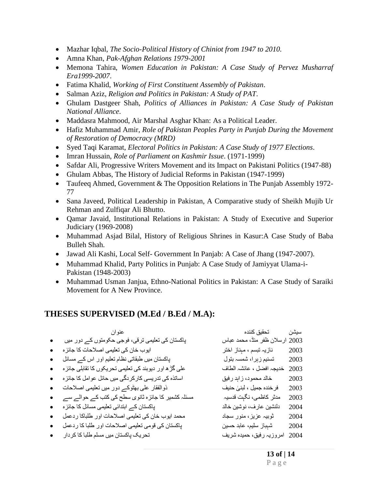- Mazhar Iqbal, *The Socio-Political History of Chiniot from 1947 to 2010.*
- Amna Khan, *Pak-Afghan Relations 1979-2001*
- Memona Tahira, *Women Education in Pakistan: A Case Study of Pervez Musharraf Era1999-2007*.
- Fatima Khalid, *Working of First Constituent Assembly of Pakistan*.
- Salman Aziz, *Religion and Politics in Pakistan: A Study of PAT*.
- Ghulam Dastgeer Shah, *Politics of Alliances in Pakistan: A Case Study of Pakistan National Alliance*.
- Maddasra Mahmood, Air Marshal Asghar Khan: As a Political Leader.
- Hafiz Muhammad Amir, *Role of Pakistan Peoples Party in Punjab During the Movement of Restoration of Democracy (MRD)*
- Syed Taqi Karamat, *Electoral Politics in Pakistan: A Case Study of 1977 Elections*.
- Imran Hussain, *Role of Parliament on Kashmir Issue*. (1971-1999)
- Safdar Ali, Progressive Writers Movement and its Impact on Pakistani Politics (1947-88)
- Ghulam Abbas, The History of Judicial Reforms in Pakistan (1947-1999)
- Taufeeq Ahmed, Government & The Opposition Relations in The Punjab Assembly 1972-77
- Sana Javeed, Political Leadership in Pakistan, A Comparative study of Sheikh Mujib Ur Rehman and Zulfiqar Ali Bhutto.
- Qamar Javaid, Institutional Relations in Pakistan: A Study of Executive and Superior Judiciary (1969-2008)
- Muhammad Asjad Bilal, History of Religious Shrines in Kasur:A Case Study of Baba Bulleh Shah.
- Jawad Ali Kashi, Local Self- Government In Panjab: A Case of Jhang (1947-2007).
- Muhammad Khalid, Party Politics in Punjab: A Case Study of Jamiyyat Ulama-i-Pakistan (1948-2003)
- Muhammad Usman Janjua, Ethno-National Politics in Pakistan: A Case Study of Saraiki Movement for A New Province.

#### **THESES SUPERVISED (M.Ed / B.Ed / M.A):**

| عنو ان                                                  | تحقيق كننده               | سيشن |
|---------------------------------------------------------|---------------------------|------|
| پاکستان کی تعلیمی ترقی، فوجی حکومتوں کے دور میں         | ارسلان ظفر منڈ، محمد عباس | 2003 |
| ایوب خان کی تعلیمی اصلاحات کا جائز ہ                    | نازیہ تبسم ، مېناز اختر   | 2003 |
| پاکستان میں طبقاتی نظام تعلیم اور اس کے مسائل           | تسنيم زېرا، شمسہ بتول     | 2003 |
| علٰی گڑ ھ اور دیوبند کی تعلیمی تحریکوں کا تقابلی جائز ہ | خديجہ افضل ، عائشہ الطاف  | 2003 |
| اساتذہ کی تدریسی کار کر دگی میں حائل عوامل کا جائز ہ    | خالد محمود، زاہد رفیق     | 2003 |
| ذوالفقار على بهثوكه دور ميں تعليمي اصلاحات              | فر خنده جميل ، لبنىٰ حنيف | 2003 |
| مسئلہ کشمیر کا جائزہ ثانوی سطح کی کتب کے حوالے سے       | مدثر كاظمى، نگېت قدسيہ    | 2003 |
| پاکستان کے ابتدائی تعلیمی مسائل کا جائز ہ               | دلنشين عارف، نوشين خالد   | 2004 |
| محمد ایوب خان کی تعلیمی اصلاحات اور طلباکا ردعمل        | ثوبیہ عزیز ، منور سجاد    | 2004 |
| پاکستان کی قومی تعلیمی اصلاحات اور طلبا کا ردعمل        | شېباز سليم، عابد حسين     | 2004 |
| تحریک پاکستان میں مسلم طلبا کا کر دار                   | امروزیہ رفیق، حمیدہ شریف  | 2004 |
|                                                         |                           |      |